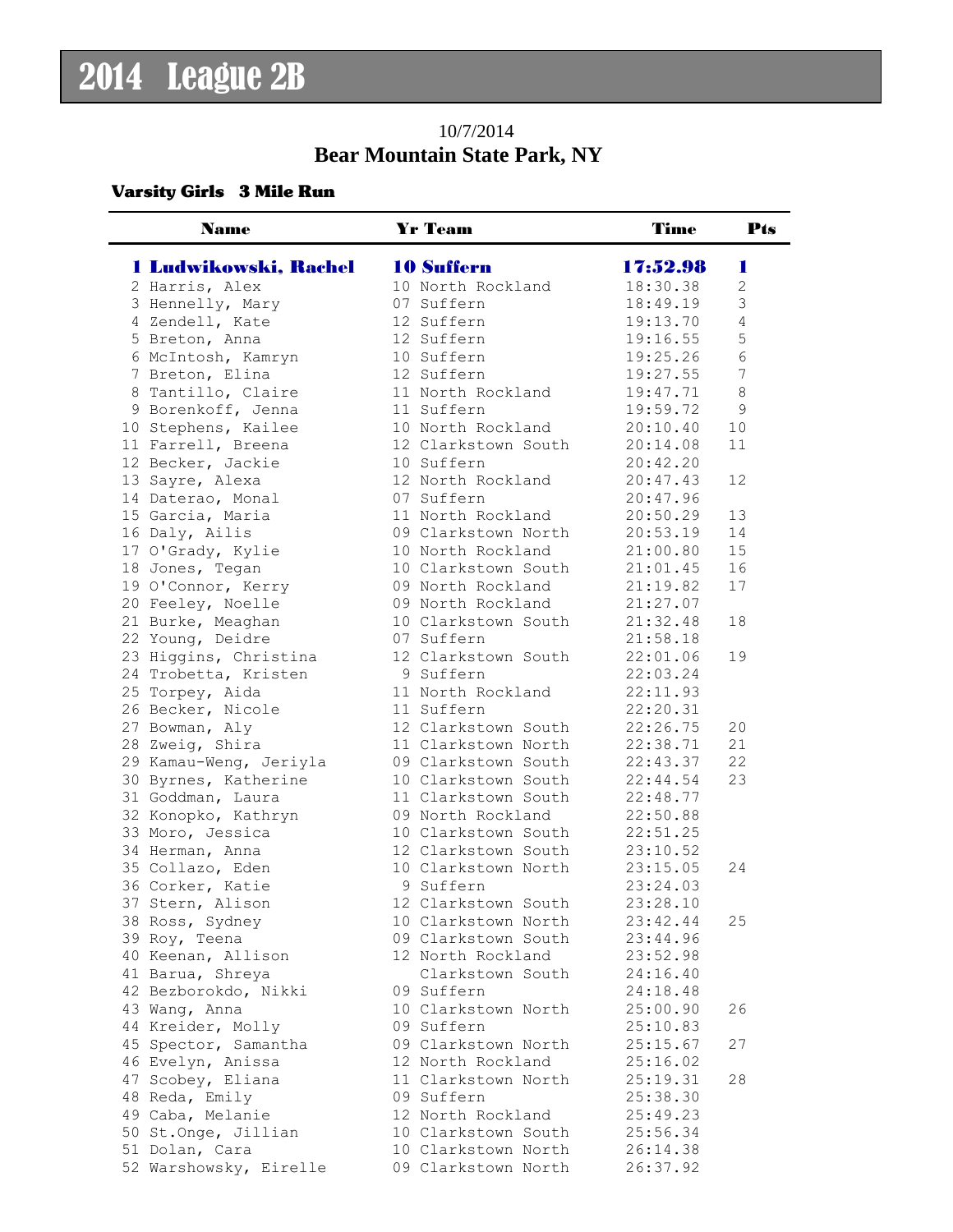### 10/7/2014 **Bear Mountain State Park, NY**

### Varsity Girls 3 Mile Run

| <b>10 Suffern</b><br>1 Ludwikowski, Rachel<br>17:52.98<br>ш<br>10 North Rockland<br>2 Harris, Alex<br>18:30.38<br>$\mathbf{2}$<br>3<br>3 Hennelly, Mary<br>07 Suffern<br>18:49.19<br>$\overline{4}$<br>4 Zendell, Kate<br>12 Suffern<br>19:13.70<br>5<br>12 Suffern<br>19:16.55<br>5 Breton, Anna<br>$\sqrt{6}$<br>6 McIntosh, Kamryn<br>10 Suffern<br>19:25.26<br>$7\phantom{.0}$<br>7 Breton, Elina<br>12 Suffern<br>19:27.55<br>$\,8\,$<br>8 Tantillo, Claire<br>11 North Rockland<br>19:47.71<br>11 Suffern<br>9<br>9 Borenkoff, Jenna<br>19:59.72<br>10 North Rockland<br>10<br>10 Stephens, Kailee<br>20:10.40<br>11<br>11 Farrell, Breena<br>12 Clarkstown South<br>20:14.08<br>12 Becker, Jackie<br>10 Suffern<br>20:42.20<br>12 North Rockland<br>12<br>13 Sayre, Alexa<br>20:47.43<br>07 Suffern<br>14 Daterao, Monal<br>20:47.96<br>15 Garcia, Maria<br>13<br>11 North Rockland<br>20:50.29<br>14<br>16 Daly, Ailis<br>09 Clarkstown North<br>20:53.19<br>15<br>17 O'Grady, Kylie<br>10 North Rockland<br>21:00.80<br>10 Clarkstown South<br>16<br>18 Jones, Tegan<br>21:01.45<br>09 North Rockland<br>17<br>19 O'Connor, Kerry<br>21:19.82<br>09 North Rockland<br>20 Feeley, Noelle<br>21:27.07<br>18<br>21 Burke, Meaghan<br>10 Clarkstown South<br>21:32.48<br>22 Young, Deidre<br>07 Suffern<br>21:58.18<br>23 Higgins, Christina<br>12 Clarkstown South<br>19<br>22:01.06<br>24 Trobetta, Kristen<br>9 Suffern<br>22:03.24<br>25 Torpey, Aida<br>11 North Rockland<br>22:11.93<br>26 Becker, Nicole<br>11 Suffern<br>22:20.31<br>12 Clarkstown South<br>22:26.75<br>20<br>27 Bowman, Aly<br>21<br>28 Zweig, Shira<br>11 Clarkstown North<br>22:38.71<br>22<br>29 Kamau-Weng, Jeriyla<br>09 Clarkstown South<br>22:43.37<br>23<br>30 Byrnes, Katherine<br>10 Clarkstown South<br>22:44.54<br>31 Goddman, Laura<br>11 Clarkstown South<br>22:48.77<br>09 North Rockland<br>32 Konopko, Kathryn<br>22:50.88<br>22:51.25<br>33 Moro, Jessica<br>10 Clarkstown South<br>34 Herman, Anna<br>12 Clarkstown South<br>23:10.52<br>35 Collazo, Eden<br>10 Clarkstown North<br>23:15.05<br>24<br>9 Suffern<br>36 Corker, Katie<br>23:24.03<br>37 Stern, Alison<br>12 Clarkstown South<br>23:28.10<br>10 Clarkstown North<br>23:42.44<br>38 Ross, Sydney<br>25<br>23:44.96<br>39 Roy, Teena<br>09 Clarkstown South<br>23:52.98<br>40 Keenan, Allison<br>12 North Rockland<br>41 Barua, Shreya<br>Clarkstown South<br>24:16.40<br>42 Bezborokdo, Nikki<br>09 Suffern<br>24:18.48<br>10 Clarkstown North<br>43 Wang, Anna<br>25:00.90<br>26<br>09 Suffern<br>44 Kreider, Molly<br>25:10.83<br>09 Clarkstown North<br>45 Spector, Samantha<br>25:15.67<br>27<br>46 Evelyn, Anissa<br>12 North Rockland<br>25:16.02<br>11 Clarkstown North<br>28<br>47 Scobey, Eliana<br>25:19.31<br>09 Suffern<br>48 Reda, Emily<br>25:38.30<br>12 North Rockland<br>49 Caba, Melanie<br>25:49.23<br>25:56.34<br>50 St.Onge, Jillian<br>10 Clarkstown South<br>51 Dolan, Cara<br>26:14.38<br>10 Clarkstown North<br>52 Warshowsky, Eirelle<br>09 Clarkstown North<br>26:37.92 | <b>Name</b> | <b>Yr Team</b> | <b>Time</b> | <b>Pts</b> |
|-----------------------------------------------------------------------------------------------------------------------------------------------------------------------------------------------------------------------------------------------------------------------------------------------------------------------------------------------------------------------------------------------------------------------------------------------------------------------------------------------------------------------------------------------------------------------------------------------------------------------------------------------------------------------------------------------------------------------------------------------------------------------------------------------------------------------------------------------------------------------------------------------------------------------------------------------------------------------------------------------------------------------------------------------------------------------------------------------------------------------------------------------------------------------------------------------------------------------------------------------------------------------------------------------------------------------------------------------------------------------------------------------------------------------------------------------------------------------------------------------------------------------------------------------------------------------------------------------------------------------------------------------------------------------------------------------------------------------------------------------------------------------------------------------------------------------------------------------------------------------------------------------------------------------------------------------------------------------------------------------------------------------------------------------------------------------------------------------------------------------------------------------------------------------------------------------------------------------------------------------------------------------------------------------------------------------------------------------------------------------------------------------------------------------------------------------------------------------------------------------------------------------------------------------------------------------------------------------------------------------------------------------------------------------------------------------------------------------------------------------------------------------------------------------------------------------------------------------------------------------------------------------------------------------------------------------------------------------------------------------------------------------------------------------------------------|-------------|----------------|-------------|------------|
|                                                                                                                                                                                                                                                                                                                                                                                                                                                                                                                                                                                                                                                                                                                                                                                                                                                                                                                                                                                                                                                                                                                                                                                                                                                                                                                                                                                                                                                                                                                                                                                                                                                                                                                                                                                                                                                                                                                                                                                                                                                                                                                                                                                                                                                                                                                                                                                                                                                                                                                                                                                                                                                                                                                                                                                                                                                                                                                                                                                                                                                                 |             |                |             |            |
|                                                                                                                                                                                                                                                                                                                                                                                                                                                                                                                                                                                                                                                                                                                                                                                                                                                                                                                                                                                                                                                                                                                                                                                                                                                                                                                                                                                                                                                                                                                                                                                                                                                                                                                                                                                                                                                                                                                                                                                                                                                                                                                                                                                                                                                                                                                                                                                                                                                                                                                                                                                                                                                                                                                                                                                                                                                                                                                                                                                                                                                                 |             |                |             |            |
|                                                                                                                                                                                                                                                                                                                                                                                                                                                                                                                                                                                                                                                                                                                                                                                                                                                                                                                                                                                                                                                                                                                                                                                                                                                                                                                                                                                                                                                                                                                                                                                                                                                                                                                                                                                                                                                                                                                                                                                                                                                                                                                                                                                                                                                                                                                                                                                                                                                                                                                                                                                                                                                                                                                                                                                                                                                                                                                                                                                                                                                                 |             |                |             |            |
|                                                                                                                                                                                                                                                                                                                                                                                                                                                                                                                                                                                                                                                                                                                                                                                                                                                                                                                                                                                                                                                                                                                                                                                                                                                                                                                                                                                                                                                                                                                                                                                                                                                                                                                                                                                                                                                                                                                                                                                                                                                                                                                                                                                                                                                                                                                                                                                                                                                                                                                                                                                                                                                                                                                                                                                                                                                                                                                                                                                                                                                                 |             |                |             |            |
|                                                                                                                                                                                                                                                                                                                                                                                                                                                                                                                                                                                                                                                                                                                                                                                                                                                                                                                                                                                                                                                                                                                                                                                                                                                                                                                                                                                                                                                                                                                                                                                                                                                                                                                                                                                                                                                                                                                                                                                                                                                                                                                                                                                                                                                                                                                                                                                                                                                                                                                                                                                                                                                                                                                                                                                                                                                                                                                                                                                                                                                                 |             |                |             |            |
|                                                                                                                                                                                                                                                                                                                                                                                                                                                                                                                                                                                                                                                                                                                                                                                                                                                                                                                                                                                                                                                                                                                                                                                                                                                                                                                                                                                                                                                                                                                                                                                                                                                                                                                                                                                                                                                                                                                                                                                                                                                                                                                                                                                                                                                                                                                                                                                                                                                                                                                                                                                                                                                                                                                                                                                                                                                                                                                                                                                                                                                                 |             |                |             |            |
|                                                                                                                                                                                                                                                                                                                                                                                                                                                                                                                                                                                                                                                                                                                                                                                                                                                                                                                                                                                                                                                                                                                                                                                                                                                                                                                                                                                                                                                                                                                                                                                                                                                                                                                                                                                                                                                                                                                                                                                                                                                                                                                                                                                                                                                                                                                                                                                                                                                                                                                                                                                                                                                                                                                                                                                                                                                                                                                                                                                                                                                                 |             |                |             |            |
|                                                                                                                                                                                                                                                                                                                                                                                                                                                                                                                                                                                                                                                                                                                                                                                                                                                                                                                                                                                                                                                                                                                                                                                                                                                                                                                                                                                                                                                                                                                                                                                                                                                                                                                                                                                                                                                                                                                                                                                                                                                                                                                                                                                                                                                                                                                                                                                                                                                                                                                                                                                                                                                                                                                                                                                                                                                                                                                                                                                                                                                                 |             |                |             |            |
|                                                                                                                                                                                                                                                                                                                                                                                                                                                                                                                                                                                                                                                                                                                                                                                                                                                                                                                                                                                                                                                                                                                                                                                                                                                                                                                                                                                                                                                                                                                                                                                                                                                                                                                                                                                                                                                                                                                                                                                                                                                                                                                                                                                                                                                                                                                                                                                                                                                                                                                                                                                                                                                                                                                                                                                                                                                                                                                                                                                                                                                                 |             |                |             |            |
|                                                                                                                                                                                                                                                                                                                                                                                                                                                                                                                                                                                                                                                                                                                                                                                                                                                                                                                                                                                                                                                                                                                                                                                                                                                                                                                                                                                                                                                                                                                                                                                                                                                                                                                                                                                                                                                                                                                                                                                                                                                                                                                                                                                                                                                                                                                                                                                                                                                                                                                                                                                                                                                                                                                                                                                                                                                                                                                                                                                                                                                                 |             |                |             |            |
|                                                                                                                                                                                                                                                                                                                                                                                                                                                                                                                                                                                                                                                                                                                                                                                                                                                                                                                                                                                                                                                                                                                                                                                                                                                                                                                                                                                                                                                                                                                                                                                                                                                                                                                                                                                                                                                                                                                                                                                                                                                                                                                                                                                                                                                                                                                                                                                                                                                                                                                                                                                                                                                                                                                                                                                                                                                                                                                                                                                                                                                                 |             |                |             |            |
|                                                                                                                                                                                                                                                                                                                                                                                                                                                                                                                                                                                                                                                                                                                                                                                                                                                                                                                                                                                                                                                                                                                                                                                                                                                                                                                                                                                                                                                                                                                                                                                                                                                                                                                                                                                                                                                                                                                                                                                                                                                                                                                                                                                                                                                                                                                                                                                                                                                                                                                                                                                                                                                                                                                                                                                                                                                                                                                                                                                                                                                                 |             |                |             |            |
|                                                                                                                                                                                                                                                                                                                                                                                                                                                                                                                                                                                                                                                                                                                                                                                                                                                                                                                                                                                                                                                                                                                                                                                                                                                                                                                                                                                                                                                                                                                                                                                                                                                                                                                                                                                                                                                                                                                                                                                                                                                                                                                                                                                                                                                                                                                                                                                                                                                                                                                                                                                                                                                                                                                                                                                                                                                                                                                                                                                                                                                                 |             |                |             |            |
|                                                                                                                                                                                                                                                                                                                                                                                                                                                                                                                                                                                                                                                                                                                                                                                                                                                                                                                                                                                                                                                                                                                                                                                                                                                                                                                                                                                                                                                                                                                                                                                                                                                                                                                                                                                                                                                                                                                                                                                                                                                                                                                                                                                                                                                                                                                                                                                                                                                                                                                                                                                                                                                                                                                                                                                                                                                                                                                                                                                                                                                                 |             |                |             |            |
|                                                                                                                                                                                                                                                                                                                                                                                                                                                                                                                                                                                                                                                                                                                                                                                                                                                                                                                                                                                                                                                                                                                                                                                                                                                                                                                                                                                                                                                                                                                                                                                                                                                                                                                                                                                                                                                                                                                                                                                                                                                                                                                                                                                                                                                                                                                                                                                                                                                                                                                                                                                                                                                                                                                                                                                                                                                                                                                                                                                                                                                                 |             |                |             |            |
|                                                                                                                                                                                                                                                                                                                                                                                                                                                                                                                                                                                                                                                                                                                                                                                                                                                                                                                                                                                                                                                                                                                                                                                                                                                                                                                                                                                                                                                                                                                                                                                                                                                                                                                                                                                                                                                                                                                                                                                                                                                                                                                                                                                                                                                                                                                                                                                                                                                                                                                                                                                                                                                                                                                                                                                                                                                                                                                                                                                                                                                                 |             |                |             |            |
|                                                                                                                                                                                                                                                                                                                                                                                                                                                                                                                                                                                                                                                                                                                                                                                                                                                                                                                                                                                                                                                                                                                                                                                                                                                                                                                                                                                                                                                                                                                                                                                                                                                                                                                                                                                                                                                                                                                                                                                                                                                                                                                                                                                                                                                                                                                                                                                                                                                                                                                                                                                                                                                                                                                                                                                                                                                                                                                                                                                                                                                                 |             |                |             |            |
|                                                                                                                                                                                                                                                                                                                                                                                                                                                                                                                                                                                                                                                                                                                                                                                                                                                                                                                                                                                                                                                                                                                                                                                                                                                                                                                                                                                                                                                                                                                                                                                                                                                                                                                                                                                                                                                                                                                                                                                                                                                                                                                                                                                                                                                                                                                                                                                                                                                                                                                                                                                                                                                                                                                                                                                                                                                                                                                                                                                                                                                                 |             |                |             |            |
|                                                                                                                                                                                                                                                                                                                                                                                                                                                                                                                                                                                                                                                                                                                                                                                                                                                                                                                                                                                                                                                                                                                                                                                                                                                                                                                                                                                                                                                                                                                                                                                                                                                                                                                                                                                                                                                                                                                                                                                                                                                                                                                                                                                                                                                                                                                                                                                                                                                                                                                                                                                                                                                                                                                                                                                                                                                                                                                                                                                                                                                                 |             |                |             |            |
|                                                                                                                                                                                                                                                                                                                                                                                                                                                                                                                                                                                                                                                                                                                                                                                                                                                                                                                                                                                                                                                                                                                                                                                                                                                                                                                                                                                                                                                                                                                                                                                                                                                                                                                                                                                                                                                                                                                                                                                                                                                                                                                                                                                                                                                                                                                                                                                                                                                                                                                                                                                                                                                                                                                                                                                                                                                                                                                                                                                                                                                                 |             |                |             |            |
|                                                                                                                                                                                                                                                                                                                                                                                                                                                                                                                                                                                                                                                                                                                                                                                                                                                                                                                                                                                                                                                                                                                                                                                                                                                                                                                                                                                                                                                                                                                                                                                                                                                                                                                                                                                                                                                                                                                                                                                                                                                                                                                                                                                                                                                                                                                                                                                                                                                                                                                                                                                                                                                                                                                                                                                                                                                                                                                                                                                                                                                                 |             |                |             |            |
|                                                                                                                                                                                                                                                                                                                                                                                                                                                                                                                                                                                                                                                                                                                                                                                                                                                                                                                                                                                                                                                                                                                                                                                                                                                                                                                                                                                                                                                                                                                                                                                                                                                                                                                                                                                                                                                                                                                                                                                                                                                                                                                                                                                                                                                                                                                                                                                                                                                                                                                                                                                                                                                                                                                                                                                                                                                                                                                                                                                                                                                                 |             |                |             |            |
|                                                                                                                                                                                                                                                                                                                                                                                                                                                                                                                                                                                                                                                                                                                                                                                                                                                                                                                                                                                                                                                                                                                                                                                                                                                                                                                                                                                                                                                                                                                                                                                                                                                                                                                                                                                                                                                                                                                                                                                                                                                                                                                                                                                                                                                                                                                                                                                                                                                                                                                                                                                                                                                                                                                                                                                                                                                                                                                                                                                                                                                                 |             |                |             |            |
|                                                                                                                                                                                                                                                                                                                                                                                                                                                                                                                                                                                                                                                                                                                                                                                                                                                                                                                                                                                                                                                                                                                                                                                                                                                                                                                                                                                                                                                                                                                                                                                                                                                                                                                                                                                                                                                                                                                                                                                                                                                                                                                                                                                                                                                                                                                                                                                                                                                                                                                                                                                                                                                                                                                                                                                                                                                                                                                                                                                                                                                                 |             |                |             |            |
|                                                                                                                                                                                                                                                                                                                                                                                                                                                                                                                                                                                                                                                                                                                                                                                                                                                                                                                                                                                                                                                                                                                                                                                                                                                                                                                                                                                                                                                                                                                                                                                                                                                                                                                                                                                                                                                                                                                                                                                                                                                                                                                                                                                                                                                                                                                                                                                                                                                                                                                                                                                                                                                                                                                                                                                                                                                                                                                                                                                                                                                                 |             |                |             |            |
|                                                                                                                                                                                                                                                                                                                                                                                                                                                                                                                                                                                                                                                                                                                                                                                                                                                                                                                                                                                                                                                                                                                                                                                                                                                                                                                                                                                                                                                                                                                                                                                                                                                                                                                                                                                                                                                                                                                                                                                                                                                                                                                                                                                                                                                                                                                                                                                                                                                                                                                                                                                                                                                                                                                                                                                                                                                                                                                                                                                                                                                                 |             |                |             |            |
|                                                                                                                                                                                                                                                                                                                                                                                                                                                                                                                                                                                                                                                                                                                                                                                                                                                                                                                                                                                                                                                                                                                                                                                                                                                                                                                                                                                                                                                                                                                                                                                                                                                                                                                                                                                                                                                                                                                                                                                                                                                                                                                                                                                                                                                                                                                                                                                                                                                                                                                                                                                                                                                                                                                                                                                                                                                                                                                                                                                                                                                                 |             |                |             |            |
|                                                                                                                                                                                                                                                                                                                                                                                                                                                                                                                                                                                                                                                                                                                                                                                                                                                                                                                                                                                                                                                                                                                                                                                                                                                                                                                                                                                                                                                                                                                                                                                                                                                                                                                                                                                                                                                                                                                                                                                                                                                                                                                                                                                                                                                                                                                                                                                                                                                                                                                                                                                                                                                                                                                                                                                                                                                                                                                                                                                                                                                                 |             |                |             |            |
|                                                                                                                                                                                                                                                                                                                                                                                                                                                                                                                                                                                                                                                                                                                                                                                                                                                                                                                                                                                                                                                                                                                                                                                                                                                                                                                                                                                                                                                                                                                                                                                                                                                                                                                                                                                                                                                                                                                                                                                                                                                                                                                                                                                                                                                                                                                                                                                                                                                                                                                                                                                                                                                                                                                                                                                                                                                                                                                                                                                                                                                                 |             |                |             |            |
|                                                                                                                                                                                                                                                                                                                                                                                                                                                                                                                                                                                                                                                                                                                                                                                                                                                                                                                                                                                                                                                                                                                                                                                                                                                                                                                                                                                                                                                                                                                                                                                                                                                                                                                                                                                                                                                                                                                                                                                                                                                                                                                                                                                                                                                                                                                                                                                                                                                                                                                                                                                                                                                                                                                                                                                                                                                                                                                                                                                                                                                                 |             |                |             |            |
|                                                                                                                                                                                                                                                                                                                                                                                                                                                                                                                                                                                                                                                                                                                                                                                                                                                                                                                                                                                                                                                                                                                                                                                                                                                                                                                                                                                                                                                                                                                                                                                                                                                                                                                                                                                                                                                                                                                                                                                                                                                                                                                                                                                                                                                                                                                                                                                                                                                                                                                                                                                                                                                                                                                                                                                                                                                                                                                                                                                                                                                                 |             |                |             |            |
|                                                                                                                                                                                                                                                                                                                                                                                                                                                                                                                                                                                                                                                                                                                                                                                                                                                                                                                                                                                                                                                                                                                                                                                                                                                                                                                                                                                                                                                                                                                                                                                                                                                                                                                                                                                                                                                                                                                                                                                                                                                                                                                                                                                                                                                                                                                                                                                                                                                                                                                                                                                                                                                                                                                                                                                                                                                                                                                                                                                                                                                                 |             |                |             |            |
|                                                                                                                                                                                                                                                                                                                                                                                                                                                                                                                                                                                                                                                                                                                                                                                                                                                                                                                                                                                                                                                                                                                                                                                                                                                                                                                                                                                                                                                                                                                                                                                                                                                                                                                                                                                                                                                                                                                                                                                                                                                                                                                                                                                                                                                                                                                                                                                                                                                                                                                                                                                                                                                                                                                                                                                                                                                                                                                                                                                                                                                                 |             |                |             |            |
|                                                                                                                                                                                                                                                                                                                                                                                                                                                                                                                                                                                                                                                                                                                                                                                                                                                                                                                                                                                                                                                                                                                                                                                                                                                                                                                                                                                                                                                                                                                                                                                                                                                                                                                                                                                                                                                                                                                                                                                                                                                                                                                                                                                                                                                                                                                                                                                                                                                                                                                                                                                                                                                                                                                                                                                                                                                                                                                                                                                                                                                                 |             |                |             |            |
|                                                                                                                                                                                                                                                                                                                                                                                                                                                                                                                                                                                                                                                                                                                                                                                                                                                                                                                                                                                                                                                                                                                                                                                                                                                                                                                                                                                                                                                                                                                                                                                                                                                                                                                                                                                                                                                                                                                                                                                                                                                                                                                                                                                                                                                                                                                                                                                                                                                                                                                                                                                                                                                                                                                                                                                                                                                                                                                                                                                                                                                                 |             |                |             |            |
|                                                                                                                                                                                                                                                                                                                                                                                                                                                                                                                                                                                                                                                                                                                                                                                                                                                                                                                                                                                                                                                                                                                                                                                                                                                                                                                                                                                                                                                                                                                                                                                                                                                                                                                                                                                                                                                                                                                                                                                                                                                                                                                                                                                                                                                                                                                                                                                                                                                                                                                                                                                                                                                                                                                                                                                                                                                                                                                                                                                                                                                                 |             |                |             |            |
|                                                                                                                                                                                                                                                                                                                                                                                                                                                                                                                                                                                                                                                                                                                                                                                                                                                                                                                                                                                                                                                                                                                                                                                                                                                                                                                                                                                                                                                                                                                                                                                                                                                                                                                                                                                                                                                                                                                                                                                                                                                                                                                                                                                                                                                                                                                                                                                                                                                                                                                                                                                                                                                                                                                                                                                                                                                                                                                                                                                                                                                                 |             |                |             |            |
|                                                                                                                                                                                                                                                                                                                                                                                                                                                                                                                                                                                                                                                                                                                                                                                                                                                                                                                                                                                                                                                                                                                                                                                                                                                                                                                                                                                                                                                                                                                                                                                                                                                                                                                                                                                                                                                                                                                                                                                                                                                                                                                                                                                                                                                                                                                                                                                                                                                                                                                                                                                                                                                                                                                                                                                                                                                                                                                                                                                                                                                                 |             |                |             |            |
|                                                                                                                                                                                                                                                                                                                                                                                                                                                                                                                                                                                                                                                                                                                                                                                                                                                                                                                                                                                                                                                                                                                                                                                                                                                                                                                                                                                                                                                                                                                                                                                                                                                                                                                                                                                                                                                                                                                                                                                                                                                                                                                                                                                                                                                                                                                                                                                                                                                                                                                                                                                                                                                                                                                                                                                                                                                                                                                                                                                                                                                                 |             |                |             |            |
|                                                                                                                                                                                                                                                                                                                                                                                                                                                                                                                                                                                                                                                                                                                                                                                                                                                                                                                                                                                                                                                                                                                                                                                                                                                                                                                                                                                                                                                                                                                                                                                                                                                                                                                                                                                                                                                                                                                                                                                                                                                                                                                                                                                                                                                                                                                                                                                                                                                                                                                                                                                                                                                                                                                                                                                                                                                                                                                                                                                                                                                                 |             |                |             |            |
|                                                                                                                                                                                                                                                                                                                                                                                                                                                                                                                                                                                                                                                                                                                                                                                                                                                                                                                                                                                                                                                                                                                                                                                                                                                                                                                                                                                                                                                                                                                                                                                                                                                                                                                                                                                                                                                                                                                                                                                                                                                                                                                                                                                                                                                                                                                                                                                                                                                                                                                                                                                                                                                                                                                                                                                                                                                                                                                                                                                                                                                                 |             |                |             |            |
|                                                                                                                                                                                                                                                                                                                                                                                                                                                                                                                                                                                                                                                                                                                                                                                                                                                                                                                                                                                                                                                                                                                                                                                                                                                                                                                                                                                                                                                                                                                                                                                                                                                                                                                                                                                                                                                                                                                                                                                                                                                                                                                                                                                                                                                                                                                                                                                                                                                                                                                                                                                                                                                                                                                                                                                                                                                                                                                                                                                                                                                                 |             |                |             |            |
|                                                                                                                                                                                                                                                                                                                                                                                                                                                                                                                                                                                                                                                                                                                                                                                                                                                                                                                                                                                                                                                                                                                                                                                                                                                                                                                                                                                                                                                                                                                                                                                                                                                                                                                                                                                                                                                                                                                                                                                                                                                                                                                                                                                                                                                                                                                                                                                                                                                                                                                                                                                                                                                                                                                                                                                                                                                                                                                                                                                                                                                                 |             |                |             |            |
|                                                                                                                                                                                                                                                                                                                                                                                                                                                                                                                                                                                                                                                                                                                                                                                                                                                                                                                                                                                                                                                                                                                                                                                                                                                                                                                                                                                                                                                                                                                                                                                                                                                                                                                                                                                                                                                                                                                                                                                                                                                                                                                                                                                                                                                                                                                                                                                                                                                                                                                                                                                                                                                                                                                                                                                                                                                                                                                                                                                                                                                                 |             |                |             |            |
|                                                                                                                                                                                                                                                                                                                                                                                                                                                                                                                                                                                                                                                                                                                                                                                                                                                                                                                                                                                                                                                                                                                                                                                                                                                                                                                                                                                                                                                                                                                                                                                                                                                                                                                                                                                                                                                                                                                                                                                                                                                                                                                                                                                                                                                                                                                                                                                                                                                                                                                                                                                                                                                                                                                                                                                                                                                                                                                                                                                                                                                                 |             |                |             |            |
|                                                                                                                                                                                                                                                                                                                                                                                                                                                                                                                                                                                                                                                                                                                                                                                                                                                                                                                                                                                                                                                                                                                                                                                                                                                                                                                                                                                                                                                                                                                                                                                                                                                                                                                                                                                                                                                                                                                                                                                                                                                                                                                                                                                                                                                                                                                                                                                                                                                                                                                                                                                                                                                                                                                                                                                                                                                                                                                                                                                                                                                                 |             |                |             |            |
|                                                                                                                                                                                                                                                                                                                                                                                                                                                                                                                                                                                                                                                                                                                                                                                                                                                                                                                                                                                                                                                                                                                                                                                                                                                                                                                                                                                                                                                                                                                                                                                                                                                                                                                                                                                                                                                                                                                                                                                                                                                                                                                                                                                                                                                                                                                                                                                                                                                                                                                                                                                                                                                                                                                                                                                                                                                                                                                                                                                                                                                                 |             |                |             |            |
|                                                                                                                                                                                                                                                                                                                                                                                                                                                                                                                                                                                                                                                                                                                                                                                                                                                                                                                                                                                                                                                                                                                                                                                                                                                                                                                                                                                                                                                                                                                                                                                                                                                                                                                                                                                                                                                                                                                                                                                                                                                                                                                                                                                                                                                                                                                                                                                                                                                                                                                                                                                                                                                                                                                                                                                                                                                                                                                                                                                                                                                                 |             |                |             |            |
|                                                                                                                                                                                                                                                                                                                                                                                                                                                                                                                                                                                                                                                                                                                                                                                                                                                                                                                                                                                                                                                                                                                                                                                                                                                                                                                                                                                                                                                                                                                                                                                                                                                                                                                                                                                                                                                                                                                                                                                                                                                                                                                                                                                                                                                                                                                                                                                                                                                                                                                                                                                                                                                                                                                                                                                                                                                                                                                                                                                                                                                                 |             |                |             |            |
|                                                                                                                                                                                                                                                                                                                                                                                                                                                                                                                                                                                                                                                                                                                                                                                                                                                                                                                                                                                                                                                                                                                                                                                                                                                                                                                                                                                                                                                                                                                                                                                                                                                                                                                                                                                                                                                                                                                                                                                                                                                                                                                                                                                                                                                                                                                                                                                                                                                                                                                                                                                                                                                                                                                                                                                                                                                                                                                                                                                                                                                                 |             |                |             |            |
|                                                                                                                                                                                                                                                                                                                                                                                                                                                                                                                                                                                                                                                                                                                                                                                                                                                                                                                                                                                                                                                                                                                                                                                                                                                                                                                                                                                                                                                                                                                                                                                                                                                                                                                                                                                                                                                                                                                                                                                                                                                                                                                                                                                                                                                                                                                                                                                                                                                                                                                                                                                                                                                                                                                                                                                                                                                                                                                                                                                                                                                                 |             |                |             |            |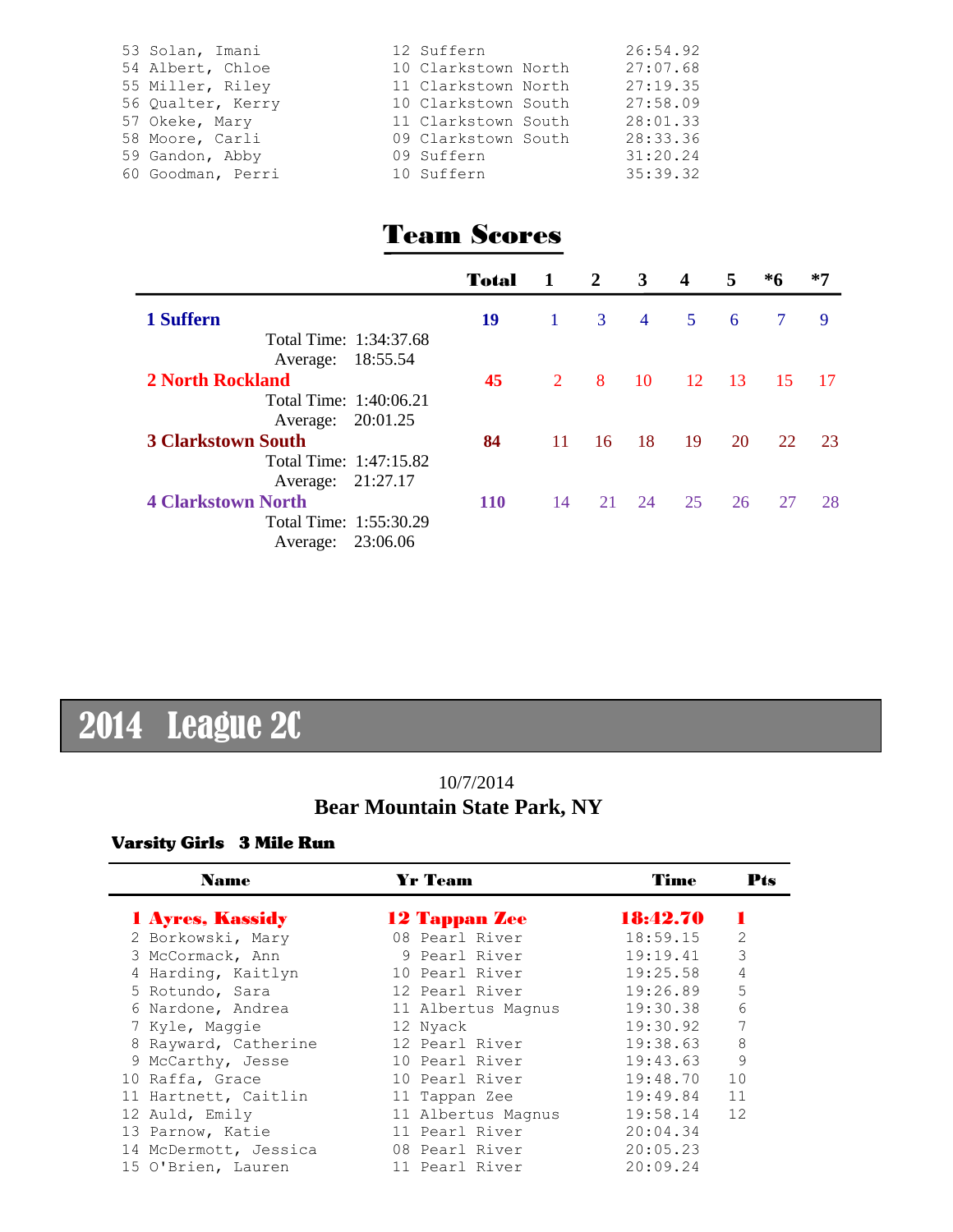| 53 Solan, Imani<br>54 Albert, Chloe<br>55 Miller, Riley | 12 Suffern<br>10 Clarkstown North<br>11 Clarkstown North | 26:54.92<br>27:07.68<br>27:19.35 |
|---------------------------------------------------------|----------------------------------------------------------|----------------------------------|
| 56 Qualter, Kerry<br>57 Okeke, Mary                     | 10 Clarkstown South<br>11 Clarkstown South               | 27:58.09<br>28:01.33             |
| 58 Moore, Carli<br>59 Gandon, Abby<br>60 Goodman, Perri | 09 Clarkstown South<br>09 Suffern<br>10 Suffern          | 28:33.36<br>31:20.24<br>35:39.32 |

## Team Scores

|                           | Total      |              | $\overline{2}$ | 3              | 4  | 5    | *6             | $*7$ |
|---------------------------|------------|--------------|----------------|----------------|----|------|----------------|------|
| 1 Suffern                 | 19         | $\mathbf{1}$ | 3              | $\overline{4}$ | 5  | 6    | $\overline{7}$ | 9    |
| Total Time: 1:34:37.68    |            |              |                |                |    |      |                |      |
| Average: 18:55.54         |            |              |                |                |    |      |                |      |
| <b>2 North Rockland</b>   | 45         | $2^{\circ}$  | 8              | 10             | 12 | - 13 | 15             | - 17 |
| Total Time: 1:40:06.21    |            |              |                |                |    |      |                |      |
| Average: 20:01.25         |            |              |                |                |    |      |                |      |
| <b>3 Clarkstown South</b> | 84         | 11           | 16             | 18             | 19 | 20   | 22             | 23   |
| Total Time: 1:47:15.82    |            |              |                |                |    |      |                |      |
| Average: 21:27.17         |            |              |                |                |    |      |                |      |
| <b>4 Clarkstown North</b> | <b>110</b> | 14           | 21             | 24             | 25 | 26   | 27             | 28   |
| Total Time: 1:55:30.29    |            |              |                |                |    |      |                |      |
| Average: 23:06.06         |            |              |                |                |    |      |                |      |

# 2014 League 2C

## 10/7/2014 **Bear Mountain State Park, NY**

#### Varsity Girls 3 Mile Run

| <b>Name</b>             | <b>Yr Team</b>       |  | Time     | Pts            |
|-------------------------|----------------------|--|----------|----------------|
| <b>1 Ayres, Kassidy</b> | <b>12 Tappan Zee</b> |  | 18:42.70 |                |
| 2 Borkowski, Mary       | 08 Pearl River       |  | 18:59.15 | $\overline{2}$ |
| 3 McCormack, Ann        | 9 Pearl River        |  | 19:19.41 | 3              |
| 4 Harding, Kaitlyn      | 10 Pearl River       |  | 19:25.58 | 4              |
| 5 Rotundo, Sara         | 12 Pearl River       |  | 19:26.89 | 5              |
| 6 Nardone, Andrea       | 11 Albertus Magnus   |  | 19:30.38 | 6              |
| 7 Kyle, Maggie          | 12 Nyack             |  | 19:30.92 | 7              |
| 8 Rayward, Catherine    | 12 Pearl River       |  | 19:38.63 | 8              |
| 9 McCarthy, Jesse       | 10 Pearl River       |  | 19:43.63 | 9              |
| 10 Raffa, Grace         | 10 Pearl River       |  | 19:48.70 | 10             |
| 11 Hartnett, Caitlin    | 11 Tappan Zee        |  | 19:49.84 | 11             |
| 12 Auld, Emily          | 11 Albertus Magnus   |  | 19:58.14 | 12             |
| 13 Parnow, Katie        | 11 Pearl River       |  | 20:04.34 |                |
| 14 McDermott, Jessica   | 08 Pearl River       |  | 20:05.23 |                |
| 15 O'Brien, Lauren      | 11 Pearl River       |  | 20:09.24 |                |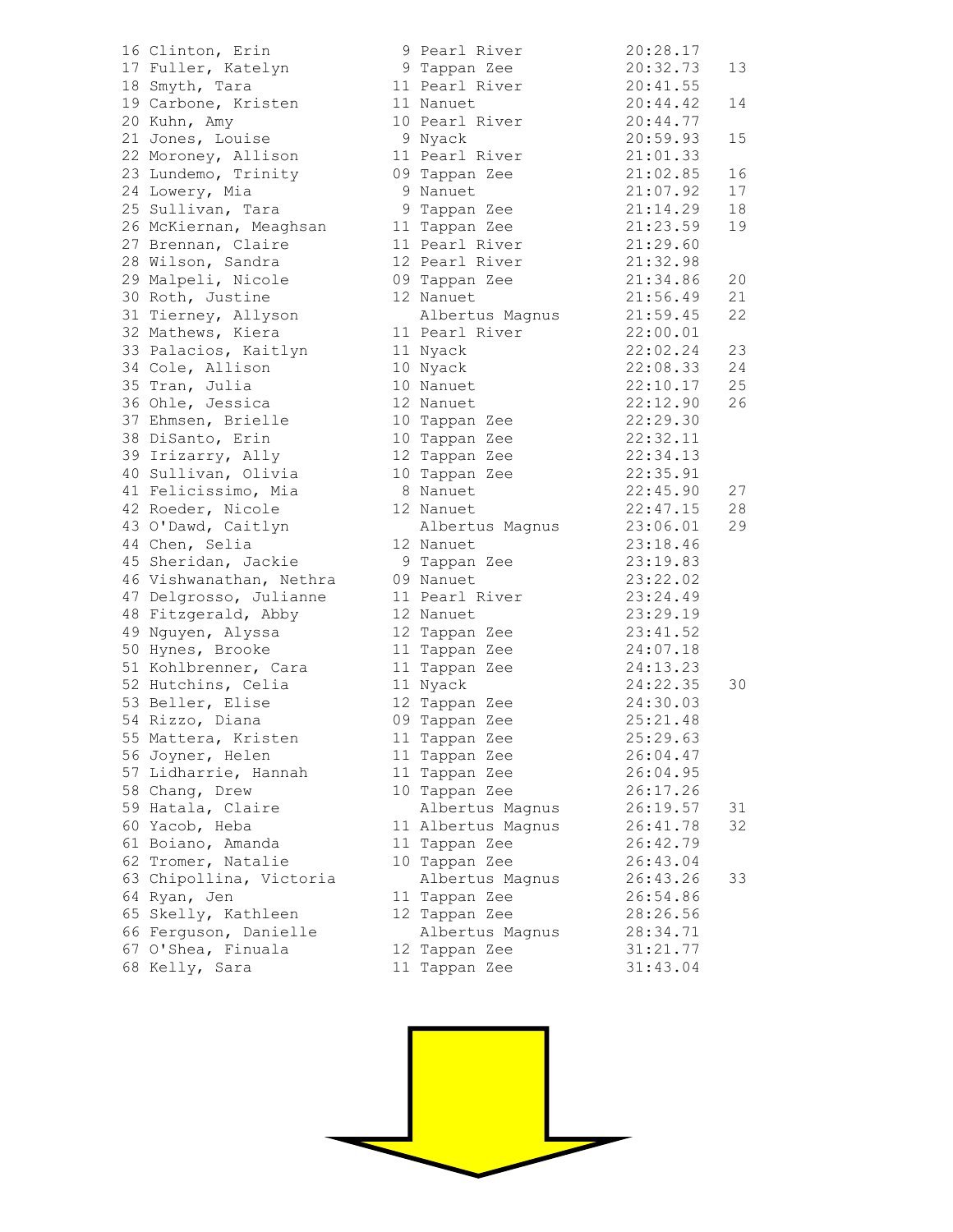16 Clinton, Erin 17 Fuller, Katelyn 18 Smyth, Tara 19 Carbone, Kristen 20 Kuhn, Amy 21 Jones, Louise 22 Moroney, Allison 23 Lundemo, Trinity 24 Lowery, Mia 25 Sullivan, Tara 26 McKiernan, Meaghsan 27 Brennan, Claire 28 Wilson, Sandra 29 Malpeli, Nicole 30 Roth, Justine 31 Tierney, Allyson 32 Mathews, Kiera 33 Palacios, Kaitlyn 34 Cole, Allison 35 Tran, Julia 36 Ohle, Jessica 37 Ehmsen, Brielle 38 DiSanto, Erin 39 Irizarry, Ally 40 Sullivan, Olivia 41 Felicissimo, Mia 42 Roeder, Nicole 43 O'Dawd, Caitlyn 44 Chen, Selia 45 Sheridan, Jackie 46 Vishwanathan, Nethra 47 Delgrosso, Julianne 48 Fitzgerald, Abby 49 Nguyen, Alyssa 50 Hynes, Brooke 51 Kohlbrenner, Cara 52 Hutchins, Celia 53 Beller, Elise 54 Rizzo, Diana 55 Mattera, Kristen 56 Joyner, Helen 57 Lidharrie, Hannah 58 Chang, Drew 59 Hatala, Claire 60 Yacob, Heba 61 Boiano, Amanda 62 Tromer, Natalie 63 Chipollina, Victoria 64 Ryan, Jen 65 Skelly, Kathleen 66 Ferguson, Danielle 67 O'Shea, Finuala 68 Kelly, Sara 11 Tappan Zee 31:43.04

|                 | 9 Pearl River   | 20:28.17 |    |
|-----------------|-----------------|----------|----|
|                 | 9 Tappan Zee    | 20:32.73 | 13 |
| 11              | Pearl River     | 20:41.55 |    |
|                 | 11 Nanuet       | 20:44.42 | 14 |
|                 | 10 Pearl River  |          |    |
|                 |                 | 20:44.77 |    |
| 9               | Nyack           | 20:59.93 | 15 |
| 11              | Pearl River     | 21:01.33 |    |
| C C             | Tappan Zee      | 21:02.85 | 16 |
| 9               | Nanuet          | 21:07.92 | 17 |
| 9               | Tappan Zee      | 21:14.29 | 18 |
| 11 <sub>1</sub> | Tappan Zee      | 21:23.59 | 19 |
| 11              | Pearl River     | 21:29.60 |    |
|                 | 12 Pearl River  | 21:32.98 |    |
|                 | 09 Tappan Zee   | 21:34.86 | 20 |
| 12              | Nanuet          | 21:56.49 | 21 |
|                 | Albertus Magnus | 21:59.45 | 22 |
|                 | 11 Pearl River  | 22:00.01 |    |
| 11              | Nyack           | 22:02.24 | 23 |
| 10              | Nyack           | 22:08.33 | 24 |
| 10              | Nanuet          | 22:10.17 | 25 |
| 12              | Nanuet          | 22:12.90 | 26 |
| 10              | Tappan Zee      | 22:29.30 |    |
| 10              | Tappan Zee      | 22:32.11 |    |
| 12              | Tappan Zee      | 22:34.13 |    |
| 10              | Tappan Zee      | 22:35.91 |    |
| - 8             | Nanuet          | 22:45.90 | 27 |
| 12              | Nanuet          | 22:47.15 | 28 |
|                 |                 |          |    |
|                 | Albertus Magnus | 23:06.01 | 29 |
|                 | 12 Nanuet       | 23:18.46 |    |
| 9               | Tappan Zee      | 23:19.83 |    |
| J 9             | Nanuet          | 23:22.02 |    |
| 11              | Pearl River     | 23:24.49 |    |
| 12              | Nanuet          | 23:29.19 |    |
| 12              | Tappan Zee      | 23:41.52 |    |
| $11 \,$         | Tappan Zee      | 24:07.18 |    |
| 11              | Tappan Zee      | 24:13.23 |    |
| 11              | Nyack           | 24:22.35 | 30 |
|                 | 12 Tappan Zee   | 24:30.03 |    |
| J 9             | Tappan Zee      | 25:21.48 |    |
| 11              | Tappan Zee      | 25:29.63 |    |
| 11              | Tappan Zee      | 26:04.47 |    |
| 11              | Tappan Zee      | 26:04.95 |    |
| 10              | Tappan Zee      | 26:17.26 |    |
|                 | Albertus Magnus | 26:19.57 | 31 |
| 11              | Albertus Magnus | 26:41.78 | 32 |
| 11              | Tappan Zee      | 26:42.79 |    |
| 10              | Tappan Zee      | 26:43.04 |    |
|                 | Albertus Magnus | 26:43.26 | 33 |
| 11              | Tappan Zee      | 26:54.86 |    |
| 12              | Tappan Zee      | 28:26.56 |    |
|                 | Albertus Magnus | 28:34.71 |    |
| 12              | Tappan Zee      | 31:21.77 |    |
|                 |                 |          |    |